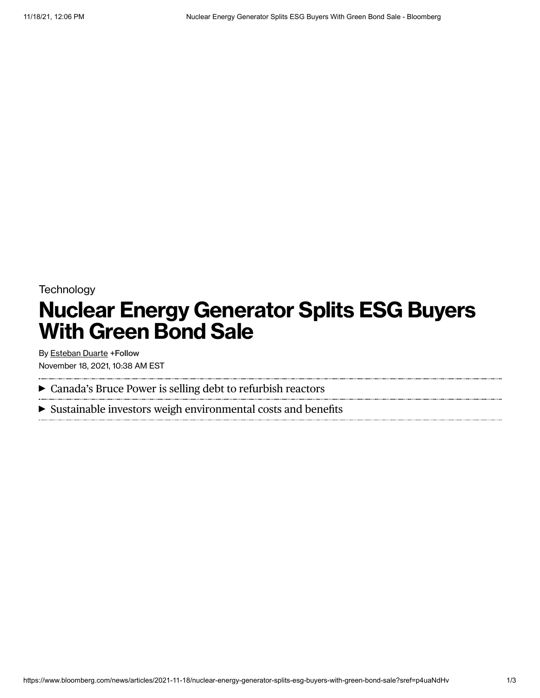## **Technology Nuclear Energy Generator Splits ESG Buyers With Green Bond Sale**

By [Esteban](https://www.bloomberg.com/authors/AOUfBtus1QY/esteban-duarte) Duarte +Follow November 18, 2021, 10:38 AM EST

Canada's Bruce Power is selling debt to refurbish reactors

Sustainable investors weigh environmental costs and benefits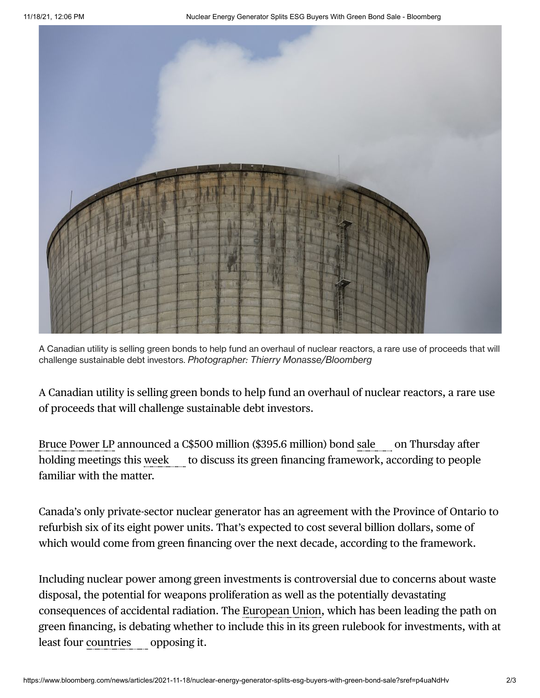

A Canadian utility is selling green bonds to help fund an overhaul of nuclear reactors, a rare use of proceeds that will challenge sustainable debt investors. *Photographer: Thierry Monasse/Bloomberg*

A Canadian utility is selling green bonds to help fund an overhaul of nuclear reactors, a rare use of proceeds that will challenge sustainable debt investors.

Bruce [Power](https://www.bloomberg.com/quote/561679Z:CN) LP announced a C\$500 million (\$395.6 million) bond [sale](https://www.bloomberg.com/news/terminal/R2RXG7GETF5S) on Thursday after holding meetings this [week](https://www.bloomberg.com/news/terminal/R2D0NDT0G1L3) to discuss its green financing framework, according to people familiar with the matter.

Canada's only private-sector nuclear generator has an agreement with the Province of Ontario to refurbish six of its eight power units. That's expected to cost several billion dollars, some of which would come from green financing over the next decade, according to the framework.

Including nuclear power among green investments is controversial due to concerns about waste disposal, the potential for weapons proliferation as well as the potentially devastating consequences of accidental radiation. The [European](https://www.bloomberg.com/quote/345300Z:BB) Union, which has been leading the path on green financing, is debating whether to include this in its green rulebook for investments, with at least four [countries](https://www.bloomberg.com/news/terminal/R2ESXSDWX2PS) opposing it.